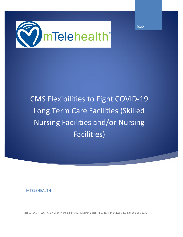

CMS Flexibilities to Fight COVID‐19 Long Term Care Facilities (Skilled Nursing Facilities and/or Nursing Facilities)

MTELEHEALTH

MTELEHEALTH, LLC | 455 NE 5th Avenue, Suite D144, Delray Beach, FL 33483| ph 561.366.2333, fx 561‐366‐2332

2020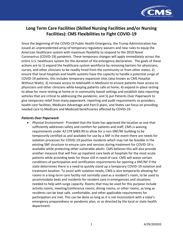

# **Long Term Care Facilities (Skilled Nursing Facilities and/or Nursing Facilities): CMS Flexibilities to Fight COVID-19**

Since the beginning of the COVID-19 Public Health Emergency, the Trump Administration has issued an unprecedented array of temporary regulatory waivers and new rules to equip the American healthcare system with maximum flexibility to respond to the 2019 Novel Coronavirus (COVID-19) pandemic. These temporary changes will apply immediately across the entire U.S. healthcare system for the duration of the emergency declaration. The goals of these actions are to 1) expand the healthcare system workforce by removing barriers for physicians, nurses, and other clinicians to be readily hired from the community or from other states; 2) ensure that local hospitals and health systems have the capacity to handle a potential surge of COVID-19 patients; this includes temporary expansion sites (also known as CMS Hospital Without Walls); 3) increase access to telehealth in Medicare to ensure patients have access to physicians and other clinicians while keeping patients safe at home; 4) expand in-place testing to allow for more testing at home or in community based settings and establish data reporting vehicles that are critical to addressing the pandemic; and 5) put Patients Over Paperwork to give temporary relief from many paperwork, reporting and audit requirements so providers, health care facilities, Medicare Advantage and Part D plans, and States can focus on providing needed care to Medicare and Medicaid beneficiaries affected by COVID-19.

# *Patients Over Paperwork*

• *Physical Environment*: Provided that the State has approved the location as one that sufficiently addresses safety and comfort for patients and staff, CMS is waiving requirements under 42 CFR §483.90 to allow for a non-SNF/NF building to be temporarily certified as and available for use by a SNF in the event there are needs for isolation processes for COVID-19 positive residents which may not be feasible in the existing SNF structure to ensure care and services during treatment for COVID-19 is available while protecting other vulnerable adults. CMS believes this will also provide another measure that will free up inpatient care beds at hospitals for the most acute patients while providing beds for those still in need of care. CMS will waive certain conditions of participation and certification requirements for opening a SNF/NF if the state determines there is a need to quickly stand up a temporary COVID-19 isolation and treatment location. To assist with isolation needs, CMS is also temporarily allowing for rooms in a long-term care facility not normally used as a resident's room, to be used to accommodate beds and residents for resident care in emergencies and situations needed to help with surge capacity. Rooms that may be used for this purpose include activity rooms, meeting/conference rooms, dining rooms, or other rooms, as long as residents can be kept safe, comfortable, and other applicable requirements for participation are met. This can be done so long as it is not inconsistent with a state's emergency preparedness or pandemic plan, or as directed by the local or state health department.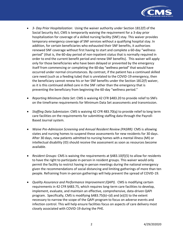

- *3- Day Prior Hospitalization*: Using the waiver authority under Section 1812(f) of the Social Security Act, CMS is temporarily waiving the requirement for a 3-day prior hospitalization for coverage of a skilled nursing facility (SNF) stay. This waiver provides temporary emergency coverage of SNF services without a qualifying hospital stay. In addition, for certain beneficiaries who exhausted their SNF benefits, it authorizes renewed SNF coverage without first having to start and complete a 60-day "wellness period" (that is, the 60-day period of non-inpatient status that is normally required in order to end the current benefit period and renew SNF benefits). This waiver will apply only for those beneficiaries who have been delayed or prevented by the emergency itself from commencing or completing the 60-day "wellness period" that would have occurred under normal circumstances. By contrast, if the patient has a continued skilled care need (such as a feeding tube) that is unrelated to the COVID-19 emergency, then the beneficiary cannot renew his or her SNF benefits under the Section 1812(f) waiver, as it is this continued skilled care in the SNF rather than the emergency that is preventing the beneficiary from beginning the 60-day "wellness period."
- *Reporting Minimum Data Set*: CMS is waiving 42 CFR §483.20 to provide relief to SNFs on the timeframe requirements for Minimum Data Set assessments and transmission.
- *Staffing Data Submission*: CMS is waiving 42 CFR 483.70(q) to provide relief to long term care facilities on the requirements for submitting staffing data through the Payroll-Based Journal system.
- *Waive Pre-Admission Screening and Annual Resident Review (PASRR):* CMS is allowing states and nursing homes to suspend these assessments for new residents for 30 days. After 30 days, new patients admitted to nursing homes with a mental illness (MI) or intellectual disability (ID) should receive the assessment as soon as resources become available.
- *Resident Groups:* CMS is waiving the requirements at §483.10(f)(5) to allow for residents to have the right to participate in-person in resident groups. This waiver would only permit the facility to restrict having in-person meetings during the national emergency given the recommendations of social distancing and limiting gatherings of more than ten people. Refraining from in-person gatherings will help prevent the spread of COVID-19.
- *Quality Assurance and Performance Improvement (QAPI).*CMS is modifying certain requirements in 42 CFR §483.75, which requires long-term care facilities to develop, implement, evaluate, and maintain an effective, comprehensive, data-driven QAPI program. Specifically, CMS is modifying §483.75(b)–(d) and (e)(3) to the extent necessary to narrow the scope of the QAPI program to focus on adverse events and infection control. This will help ensure facilities focus on aspects of care delivery most closely associated with COVID-19 during the PHE.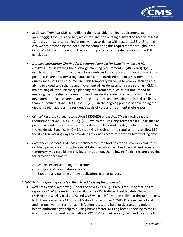

- *In-Service Training***:** CMS is modifying the nurse aide training requirements at  $\S$ 483.95(g)(1) for SNFs and NFs, which requires the nursing assistant to receive at least 12 hours of in-service training annually. In accordance with section 1135(b)(5) of the Act, we are postponing the deadline for completing this requirement throughout the COVID-19 PHE until the end of the first full quarter after the declaration of the PHE concludes.
- *Detailed Information Sharing for Discharge Planning for Long-Term Care (LTC) Facilities.* CMS is waiving the discharge planning requirement in §483.21(c)(1)(viii), which requires LTC facilities to assist residents and their representatives in selecting a post-acute care provider using data, such as standardized patient assessment data, quality measures and resource use. This temporary waiver is to provide facilities the ability to expedite discharge and movement of residents among care settings. CMS is maintaining all other discharge planning requirements, such as but not limited to, ensuring that the discharge needs of each resident are identified and result in the development of a discharge plan for each resident; and involving the interdisciplinary team, as defined at 42 CFR §483.21(b)(2)(ii), in the ongoing process of developing the discharge plan address the resident's goals of care and treatment preferences.
- *Clinical Records*. Pursuant to section 1135(b)(5) of the Act, CMS is modifying the requirement at 42 CFR  $§$ 483.10(g)(2)(ii) which requires long-term care (LTC) facilities to provide a resident a copy of their records within two working days (when requested by the resident). Specifically, CMS is modifying the timeframe requirements to allow LTC facilities ten working days to provide a resident's record rather than two working days.
- *Provider Enrollment*: CMS has established toll-free hotlines for all providers and Part A certified providers and suppliers establishing isolation facilities to enroll and receive temporary Medicare billing privileges. In addition, the following flexibilities are provided for provider enrollment:
	- o Waive certain screening requirements.
	- o Postpone all revalidation actions.
	- o Expedite any pending or new applications from providers.

## *Establish data reporting vehicle critical to addressing the pandemic*

• *Required Facility Reporting*: Under the new §483.80(g), CMS is requiring facilities to report COVID-19 cases in their facility to the CDC National Health Safety Network (NHSN) on a weekly basis. CDC and CMS will use information collected through the new NHSN Long-term Care COVID-19 Module to strengthen COVID-19 surveillance locally and nationally; monitor trends in infection rates; and help local, state, and federal health authorities get help to nursing homes faster. Nursing home reporting to the CDC is a critical component of the national COVID-19 surveillance system and to efforts to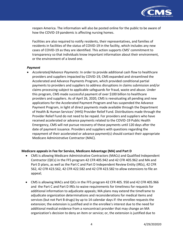

reopen America. The information will also be posted online for the public to be aware of how the COVID-19 pandemic is affecting nursing homes.

Facilities are also required to notify residents, their representatives, and families of residents in facilities of the status of COVID-19 in the facility, which includes any new cases of COVID-19 as they are identified. This action supports CMS' commitment to transparency so that individuals know important information about their environment, or the environment of a loved one.

#### *Payment*

• *Accelerated/Advance Payments*: In order to provide additional cash flow to healthcare providers and suppliers impacted by COVID-19, CMS expanded and streamlined the Accelerated and Advance Payments Program, which provided conditional partial payments to providers and suppliers to address disruptions in claims submission and/or claims processing subject to applicable safeguards for fraud, waste and abuse. Under this program, CMS made successful payment of over \$100 billion to healthcare providers and suppliers. As of April 26, 2020, CMS is reevaluating all pending and new applications for the Accelerated Payment Program and has suspended the Advance Payment Program, in light of direct payments made available through the Department of Health & Human Services' (HHS) Provider Relief Fund. Distributions made through the Provider Relief Fund do not need to be repaid. For providers and suppliers who have received accelerated or advance payments related to the COVID-19 Public Health Emergency, CMS will not pursue recovery of these payments until 120 days after the date of payment issuance. Providers and suppliers with questions regarding the repayment of their accelerated or advance payment(s) should contact their appropriate Medicare Administrative Contractor (MAC).

#### **Medicare appeals in Fee for Service, Medicare Advantage (MA) and Part D**

- CMS is allowing Medicare Administrative Contractors (MACs) and Qualified Independent Contractor (QICs) in the FFS program 42 CFR 405.942 and 42 CFR 405.962 and MA and Part D plans, as well as the Part C and Part D Independent Review Entity (IREs), 42 CFR 562, 42 CFR 423.562, 42 CFR 422.582 and 42 CFR 423.582 to allow extensions to file an appeal;
- CMS is allowing MACs and QICs in the FFS program 42 CFR 405. 950 and 42 CFR 405.966 and the Part C and Part D IREs to waive requirements for timeliness for requests for additional information to adjudicate appeals; MA plans may extend the timeframe to adjudicate organization determinations and reconsiderations for medical items and services (but not Part B drugs) by up to 14 calendar days if: the enrollee requests the extension; the extension is justified and in the enrollee's interest due to the need for additional medical evidence from a noncontract provider that may change an MA organization's decision to deny an item or service; or, the extension is justified due to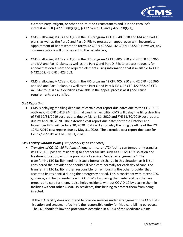

extraordinary, exigent, or other non-routine circumstances and is in the enrollee's interest 42 CFR § 422.568(b)(1)(i), § 422.572(b)(1) and § 422.590(f)(1);

- CMS is allowing MACs and QICs in the FFS program 42 C.F.R 405.910 and MA and Part D plans, as well as the Part C and Part D IREs to process an appeal even with incomplete Appointment of Representation forms 42 CFR § 422.561, 42 CFR § 423.560. However, any communications will only be sent to the beneficiary;
- CMS is allowing MACs and QICs in the FFS program 42 CFR 405. 950 and 42 CFR 405.966 and MA and Part D plans, as well as the Part C and Part D IREs to process requests for appeal that don't meet the required elements using information that is available 42 CFR § 422.562, 42 CFR § 423.562.
- CMS is allowing MACs and QICs in the FFS program 42 CFR 405. 950 and 42 CFR 405.966 and MA and Part D plans, as well as the Part C and Part D IREs, 42 CFR 422.562, 42 CFR 423.562 to utilize all flexibilities available in the appeal process as if good cause requirements are satisfied.

## *Cost Reporting*

• CMS is delaying the filing deadline of certain cost report due dates due to the COVID-19 outbreak; 42 CFR § 413.24(f)(2)(ii) allows this flexibility. CMS will delay the filing deadline of FYE 10/31/2019 cost reports due by March 31, 2020 and FYE 11/30/2019 cost reports due by April 30, 2020. The extended cost report due dates for these October and November FYEs will be June 30, 2020. CMS will also delay the filing deadline of the FYE 12/31/2019 cost reports due by May 31, 2020. The extended cost report due date for FYE 12/31/2019 will be July 31, 2020.

## *CMS Facility without Walls (Temporary Expansion Sites)*

• *Transfers of COVID -19 Patients*: A long term care (LTC) facility can temporarily transfer its COVID-19 positive resident(s) to another facility, such as a COVID-19 isolation and treatment location, with the provision of services "under arrangements." The transferring LTC facility need not issue a formal discharge in this situation, as it is still considered the provider and should bill Medicare normally for each day of care. The transferring LTC facility is then responsible for reimbursing the other provider that accepted its resident(s) during the emergency period. This is consistent with recent CDC guidance, and helps residents with COVID-19 by placing them into facilities that are prepared to care for them. It also helps residents without COVID-19 by placing them in facilities without other COVID-19 residents, thus helping to protect them from being infected.

If the LTC facility does not intend to provide services under arrangement, the COVID-19 isolation and treatment facility is the responsible entity for Medicare billing purposes. The SNF should follow the procedures described in 40.3.4 of the Medicare Claims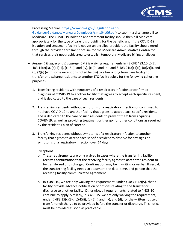

Processing Manual [\(https://www.cms.gov/Regulations-and-](https://www.cms.gov/Regulations-and-Guidance/Guidance/Manuals/Downloads/clm104c06.pdf)

[Guidance/Guidance/Manuals/Downloads/clm104c06.pdf\)](https://www.cms.gov/Regulations-and-Guidance/Guidance/Manuals/Downloads/clm104c06.pdf) to submit a discharge bill to Medicare. The COVID-19 isolation and treatment facility should then bill Medicare appropriately for the type of care it is providing for the beneficiary. If the COVID-19 isolation and treatment facility is not yet an enrolled provider, the facility should enroll through the provider enrollment hotline for the Medicare Administrative Contractor that services their geographic area to establish temporary Medicare billing privileges.

- *Resident Transfer and Discharge:* CMS is waiving requirements in 42 CFR 483.10(c)(5); 483.15(c)(3), (c)(4)(ii), (c)(5)(i) and (iv), (c)(9), and (d); and § 483.21(a)(1)(i), (a)(2)(i), and (b) (2)(i) (with some exceptions noted below) to allow a long term care facility to transfer or discharge residents to another LTC facility solely for the following cohorting purposes:
	- 1. Transferring residents with symptoms of a respiratory infection or confirmed diagnosis of COVID-19 to another facility that agrees to accept each specific resident, and is dedicated to the care of such residents;
	- 2. Transferring residents without symptoms of a respiratory infection or confirmed to not have COVID-19 to another facility that agrees to accept each specific resident, and is dedicated to the care of such residents to prevent them from acquiring COVID-19, as well as providing treatment or therapy for other conditions as required by the resident's plan of care; or
	- 3. Transferring residents without symptoms of a respiratory infection to another facility that agrees to accept each specific resident to observe for any signs or symptoms of a respiratory infection over 14 days.

Exceptions:

- o These requirements are **only** waived in cases where the transferring facility receives confirmation that the receiving facility agrees to accept the resident to be transferred or discharged. Confirmation may be in writing or verbal. If verbal, the transferring facility needs to document the date, time, and person that the receiving facility communicated agreement.
- o In § 483.10, we are only waiving the requirement, under § 483.10(c)(5), that a facility provide advance notification of options relating to the transfer or discharge to another facility. Otherwise, all requirements related to § 483.10 continue to apply. Similarly, in § 483.15, we are only waiving the requirement, under § 483.15(c)(3), (c)(4)(ii), (c)(5)(i) and (iv), and (d), for the written notice of transfer or discharge to be provided before the transfer or discharge. This notice must be provided as soon as practicable.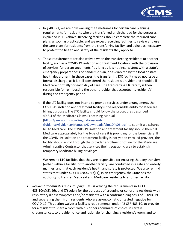

- $\circ$  In § 483.21, we are only waiving the timeframes for certain care planning requirements for residents who are transferred or discharged for the purposes explained in 1–3 above. Receiving facilities should complete the required care plans as soon aspracticable, and we expect receiving facilities to review and use the care plans for residents from the transferring facility, and adjust as necessary to protect the health and safety of the residents they apply to.
- $\circ$  These requirements are also waived when the transferring residents to another facility, such as a COVID-19 isolation and treatment location, with the provision of services "under arrangements," as long as it is not inconsistent with a state's emergency preparedness or pandemic plan, or as directed by the local or state health department. In these cases, the transferring LTC facility need not issue a formal discharge, as it is still considered the resident's provider and should bill Medicare normally for each day of care. The transferring LTC facility is then responsible for reimbursing the other provider that accepted its resident(s) during the emergency period.
- $\circ$  If the LTC facility does not intend to provide services under arrangement, the COVID-19 isolation and treatment facility is the responsible entity for Medicare billing purposes. The LTC facility should follow the procedures described in 40.3.4 of the Medicare Claims Processing Manual (https://www.cms.gov/Regulations-and-[Guidance/Guidance/Manuals/Downloads/clm104c06.pdf\)](https://www.cms.gov/Regulations-and-Guidance/Guidance/Manuals/Downloads/clm104c06.pdf) to submit a discharge bill to Medicare. The COVID-19 isolation and treatment facility should then bill Medicare appropriately for the type of care it is providing for the beneficiary. If the COVID-19 isolation and treatment facility is not yet an enrolled provider, the facility should enroll through the provider enrollment hotline for the Medicare Administrative Contractor that services their geographic area to establish temporary Medicare billing privileges.

We remind LTC facilities that they are responsible for ensuring that any transfers (either within a facility, or to another facility) are conducted in a safe and orderly manner, and that each resident's health and safety is protected. We also remind states that under 42 CFR 488.426(a)(1), in an emergency, the State has the authority to transfer Medicaid and Medicare residents to another facility.

• *Resident Roommates and Grouping:* CMS is waiving the requirements in 42 CFR 483.10(e)(5), (6), and (7) solely for the purposes of grouping or cohorting residents with respiratory illness symptoms and/or residents with a confirmed diagnosis of COVID-19, and separating them from residents who are asymptomatic or tested negative for COVID-19. This action waives a facility's requirements, under 42 CFR 483.10, to provide for a resident to share a room with his or her roommate of choice in certain circumstances, to provide notice and rationale for changing a resident'sroom, and to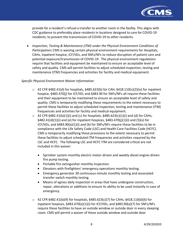

provide for a resident's refusal a transfer to another room in the facility. This aligns with CDC guidance to preferably place residents in locations designed to care for COVID-19 residents, to prevent the transmission of COVID-19 to other residents.

• *Inspection, Testing & Maintenance (ITM) under the Physical Environment Conditions of Participation***:** CMS is waiving certain physical environment requirements for Hospitals, CAHs, inpatient hospice, ICF/IIDs, and SNFs/NFs to reduce disruption of patient care and potential exposure/transmission of COVID-19. The physical environment regulations require that facilities and equipment be maintained to ensure an acceptable level of safety and quality. CMS will permit facilities to adjust scheduled inspection, testing and maintenance (ITM) frequencies and activities for facility and medical equipment.

## *Specific Physical Environment Waiver Information:*

- $\circ$  42 CFR §482.41(d) for hospitals, §485.623(b) for CAH, §418.110(c)(2)(iv) for inpatient hospice, §483.470(j) for ICF/IID; and §483.90 for SNFs/NFs all require these facilities and their equipment to be maintained to ensure an acceptable level of safety and quality. CMS is temporarily modifying these requirements to the extent necessary to permit these facilities to adjust scheduled inspection, testing and maintenance (ITM) frequencies and activities for facility and medical equipment.
- $\circ$  42 CFR §482.41(b)(1)(i) and (c) for hospitals, §485.623(c)(1)(i) and (d) for CAHs, §482.41(d)(1)(i) and (e) for inpatient hospices, §483.470(j)(1)(i) and (5)(v) for ICF/IIDs, and §483.90(a)(1)(i) and (b) for SNFs/NFs require these facilities to be in compliance with the Life Safety Code (LSC) and Health Care Facilities Code (HCFC). CMS is temporarily modifying these provisions to the extent necessary to permit these facilities to adjust scheduled ITM frequencies and activities required by the LSC and HCFC. The following LSC and HCFC ITM are considered critical are not included in this waiver:
	- Sprinkler system monthly electric motor-driven and weekly diesel engine-driven fire pump testing.
	- Portable fire extinguisher monthly inspection.
	- Elevators with firefighters' emergency operations monthly testing.
	- Emergency generator 30 continuous minute monthly testing and associated transfer switch monthly testing.
	- Means of egress daily inspection in areas that have undergone construction, repair, alterations or additions to ensure its ability to be used instantly in case of emergency.
- $\circ$  42 CFR §482.41(b)(9) for hospitals, §485.623(c)(7) for CAHs, §418.110(d)(6) for inpatient hospices, §483.470(e)(1)(i) for ICF/IIDs, and §483.90(a)(7) for SNFs/NFs require these facilities to have an outside window or outside door in every sleeping room. CMS will permit a waiver of these outside window and outside door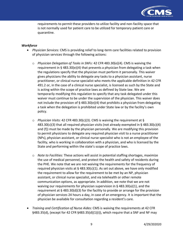

requirements to permit these providers to utilize facility and non-facility space that is not normally used for patient care to be utilized for temporary patient care or quarantine.

## *Workforce*

- *Physician Services:* CMS is providing relief to long-term care facilities related to provision of physician services through the following actions:
	- o *Physician Delegation of Tasks in SNFs:* 42 CFR 483.30(e)(4). CMS is waiving the requirement in § 483.30(e)(4) that prevents a physician from delegating a task when the regulations specify that the physician must perform it personally. This waiver gives physicians the ability to delegate any tasks to a physician assistant, nurse practitioner, or clinical nurse specialist who meets the applicable definition in 42 CFR 491.2 or, in the case of a clinical nurse specialist, is licensed as such by the State and is acting within the scope of practice laws as defined by State law. We are temporarily modifying this regulation to specify that any task delegated under this waiver must continue to be under the supervision of the physician. This waiver does not include the provision of  $\S$  483.30(e)(4) that prohibits a physician from delegating a task when the delegation is prohibited under State law or by the facility's own policy.
	- o *Physician Visits:* 42 CFR 483.30(c)(3). CMS is waiving the requirement at §  $483.30(c)(3)$  that all required physician visits (not already exempted in § 483.30(c)(4) and (f)) must be made by the physician personally. We are modifying this provision to permit physicians to delegate any required physician visit to a nurse practitioner (NPs), physician assistant, or clinical nurse specialist who is not an employee of the facility, who is working in collaboration with a physician, and who is licensed by the State and performing within the state's scope of practice laws.
	- o *Note to Facilities:* These actions will assist in potential staffing shortages, maximize the use of medical personnel, and protect the health and safety of residents during the PHE. We note that we are not waiving the requirements for the frequency of required physician visits at  $\S$  483.30(c)(1). As set out above, we have only modified the requirement to allow for the requirement to be met by an NP, physician assistant, or clinical nurse specialist, and via telehealth or other remote communication options, as appropriate. In addition, we note that we are not waiving our requirements for physician supervision in § 483.30(a)(1), and the requirement at § 483.30(d)(3) for the facility to provide or arrange for the provision of physician services 24 hours a day, in case of an emergency. It is important that the physician be available for consultation regarding a resident's care.
- *Training and Certification of Nurse Aides:* CMS is waiving the requirements at 42 CFR §483.35(d), (except for 42 CFR §483.35(d)(1)(i)), which require that a SNF and NF may